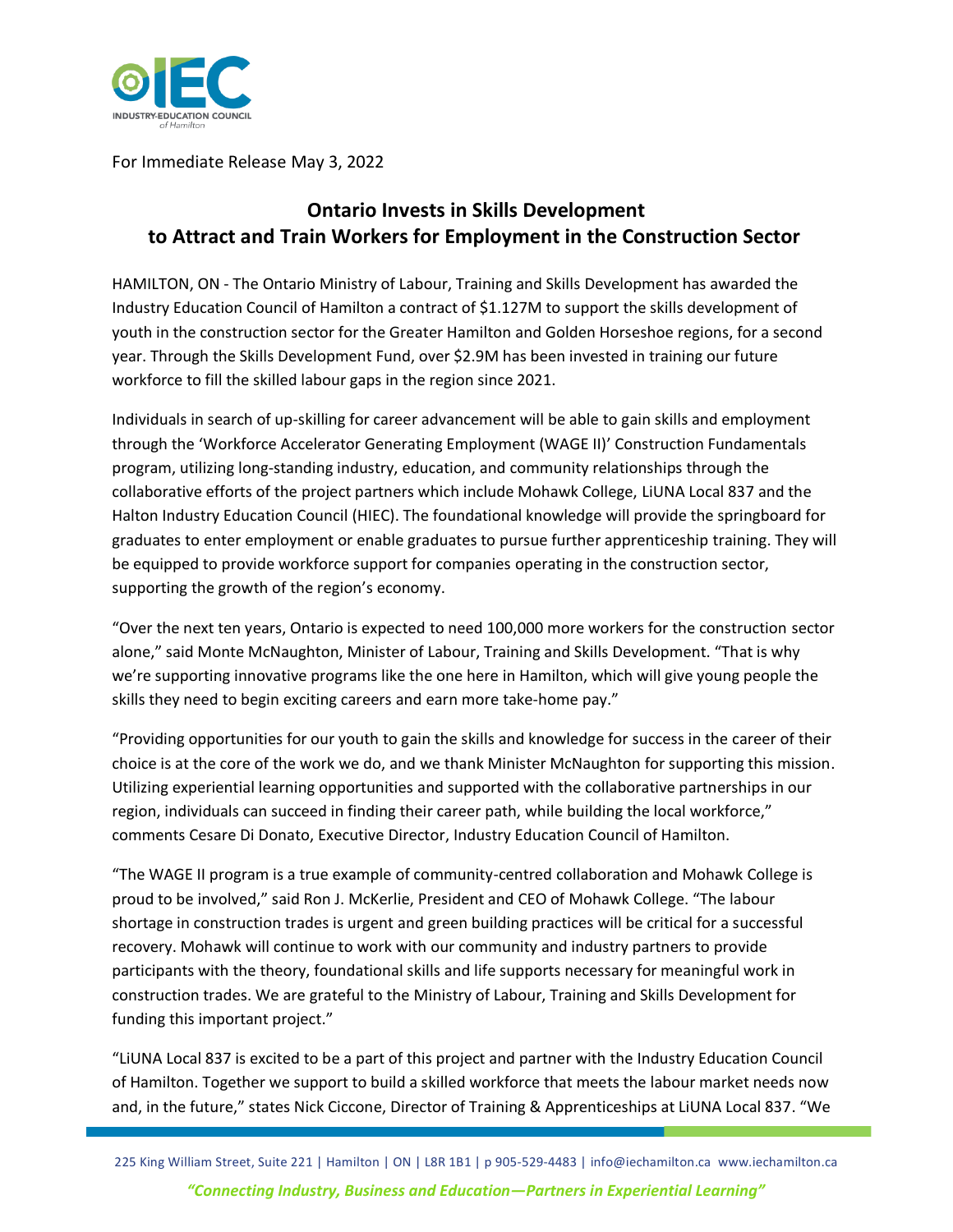

For Immediate Release May 3, 2022

## **Ontario Invests in Skills Development to Attract and Train Workers for Employment in the Construction Sector**

HAMILTON, ON - The Ontario Ministry of Labour, Training and Skills Development has awarded the Industry Education Council of Hamilton a contract of \$1.127M to support the skills development of youth in the construction sector for the Greater Hamilton and Golden Horseshoe regions, for a second year. Through the Skills Development Fund, over \$2.9M has been invested in training our future workforce to fill the skilled labour gaps in the region since 2021.

Individuals in search of up-skilling for career advancement will be able to gain skills and employment through the 'Workforce Accelerator Generating Employment (WAGE II)' Construction Fundamentals program, utilizing long-standing industry, education, and community relationships through the collaborative efforts of the project partners which include Mohawk College, LiUNA Local 837 and the Halton Industry Education Council (HIEC). The foundational knowledge will provide the springboard for graduates to enter employment or enable graduates to pursue further apprenticeship training. They will be equipped to provide workforce support for companies operating in the construction sector, supporting the growth of the region's economy.

"Over the next ten years, Ontario is expected to need 100,000 more workers for the construction sector alone," said Monte McNaughton, Minister of Labour, Training and Skills Development. "That is why we're supporting innovative programs like the one here in Hamilton, which will give young people the skills they need to begin exciting careers and earn more take-home pay."

"Providing opportunities for our youth to gain the skills and knowledge for success in the career of their choice is at the core of the work we do, and we thank Minister McNaughton for supporting this mission. Utilizing experiential learning opportunities and supported with the collaborative partnerships in our region, individuals can succeed in finding their career path, while building the local workforce," comments Cesare Di Donato, Executive Director, Industry Education Council of Hamilton.

"The WAGE II program is a true example of community-centred collaboration and Mohawk College is proud to be involved," said Ron J. McKerlie, President and CEO of Mohawk College. "The labour shortage in construction trades is urgent and green building practices will be critical for a successful recovery. Mohawk will continue to work with our community and industry partners to provide participants with the theory, foundational skills and life supports necessary for meaningful work in construction trades. We are grateful to the Ministry of Labour, Training and Skills Development for funding this important project."

"LiUNA Local 837 is excited to be a part of this project and partner with the Industry Education Council of Hamilton. Together we support to build a skilled workforce that meets the labour market needs now and, in the future," states Nick Ciccone, Director of Training & Apprenticeships at LiUNA Local 837. "We

225 King William Street, Suite 221 | Hamilton | ON | L8R 1B1 | p 905-529-4483 | info@iechamilton.ca www.iechamilton.ca *"Connecting Industry, Business and Education—Partners in Experiential Learning"*